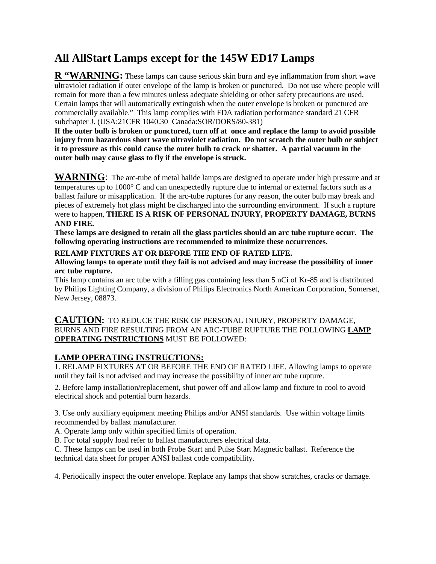## **All AllStart Lamps except for the 145W ED17 Lamps**

**R "WARNING:** These lamps can cause serious skin burn and eye inflammation from short wave ultraviolet radiation if outer envelope of the lamp is broken or punctured. Do not use where people will remain for more than a few minutes unless adequate shielding or other safety precautions are used. Certain lamps that will automatically extinguish when the outer envelope is broken or punctured are commercially available." This lamp complies with FDA radiation performance standard 21 CFR subchapter J. (USA:21CFR 1040.30 Canada:SOR/DORS/80-381)

**If the outer bulb is broken or punctured, turn off at once and replace the lamp to avoid possible injury from hazardous short wave ultraviolet radiation. Do not scratch the outer bulb or subject it to pressure as this could cause the outer bulb to crack or shatter. A partial vacuum in the outer bulb may cause glass to fly if the envelope is struck.** 

**WARNING**: The arc-tube of metal halide lamps are designed to operate under high pressure and at temperatures up to 1000° C and can unexpectedly rupture due to internal or external factors such as a ballast failure or misapplication. If the arc-tube ruptures for any reason, the outer bulb may break and pieces of extremely hot glass might be discharged into the surrounding environment. If such a rupture were to happen, **THERE IS A RISK OF PERSONAL INJURY, PROPERTY DAMAGE, BURNS AND FIRE.** 

**These lamps are designed to retain all the glass particles should an arc tube rupture occur. The following operating instructions are recommended to minimize these occurrences.** 

## **RELAMP FIXTURES AT OR BEFORE THE END OF RATED LIFE.**

**Allowing lamps to operate until they fail is not advised and may increase the possibility of inner arc tube rupture.** 

This lamp contains an arc tube with a filling gas containing less than 5 nCi of Kr-85 and is distributed by Philips Lighting Company, a division of Philips Electronics North American Corporation, Somerset, New Jersey, 08873.

## **CAUTION:** TO REDUCE THE RISK OF PERSONAL INJURY, PROPERTY DAMAGE, BURNS AND FIRE RESULTING FROM AN ARC-TUBE RUPTURE THE FOLLOWING **LAMP OPERATING INSTRUCTIONS** MUST BE FOLLOWED:

## **LAMP OPERATING INSTRUCTIONS:**

1. RELAMP FIXTURES AT OR BEFORE THE END OF RATED LIFE. Allowing lamps to operate until they fail is not advised and may increase the possibility of inner arc tube rupture.

2. Before lamp installation/replacement, shut power off and allow lamp and fixture to cool to avoid electrical shock and potential burn hazards.

3. Use only auxiliary equipment meeting Philips and/or ANSI standards. Use within voltage limits recommended by ballast manufacturer.

A. Operate lamp only within specified limits of operation.

B. For total supply load refer to ballast manufacturers electrical data.

C. These lamps can be used in both Probe Start and Pulse Start Magnetic ballast. Reference the technical data sheet for proper ANSI ballast code compatibility.

4. Periodically inspect the outer envelope. Replace any lamps that show scratches, cracks or damage.